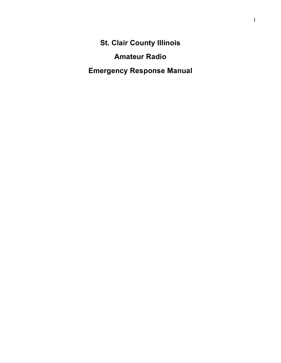**St. Clair County Illinois**

**Amateur Radio**

**Emergency Response Manual**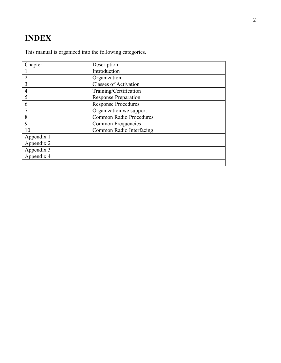# **I N DEX**

This manual is organized into the following categories.

| Chapter        | Description                    |  |
|----------------|--------------------------------|--|
|                | Introduction                   |  |
| $\overline{2}$ | Organization                   |  |
| 3              | <b>Classes of Activation</b>   |  |
| 4              | Training/Certification         |  |
| 5              | <b>Response Preparation</b>    |  |
| 6              | <b>Response Procedures</b>     |  |
|                | Organization we support        |  |
| 8              | <b>Common Radio Procedures</b> |  |
| 9              | Common Frequencies             |  |
| 10             | Common Radio Interfacing       |  |
| Appendix 1     |                                |  |
| Appendix 2     |                                |  |
| Appendix 3     |                                |  |
| Appendix 4     |                                |  |
|                |                                |  |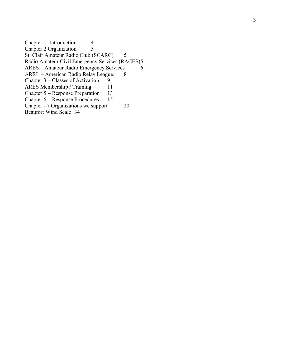Chapter 1: Introduction 4 Chapter 2 Organization 5 St. Clair Amateur Radio Club (SCARC) 5 Radio Amateur Civil Emergency Services (RACES)5 ARES - Amateur Radio Emergency Services 6 ARRL - American Radio Relay League. 8 Chapter 3 – Classes of Activation 9 ARES Membership / Training 11 Chapter 5 – Response Preparation 13 Chapter 6 – Response Procedures . 15 Chapter - 7 Organizations we suppor **20** Beaufort Wind Scale 34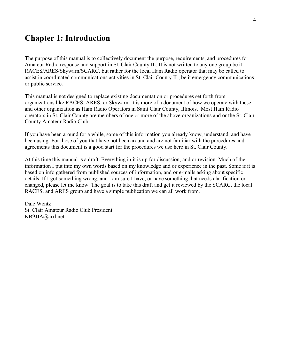# **Chapter 1: Introduction**

The purpose of this manual is to collectively document the purpose, requirements, and procedures for Amateur Radio response and support in St. Clair County IL. It is not written to any one group be it RACES/ARES/Skywarn/SCARC, but rather for the local Ham Radio operator that may be called to assist in coordinated communications activities in St. Clair County IL, be it emergency communications or public service.

This manual is not designed to replace existing documentation or procedures set forth from organizations like RACES, ARES, or Skywarn. It is more of a document of how we operate with these and other organization as Ham Radio Operators in Saint Clair County, Illinois. Most Ham Radio operators in St. Clair County are members of one or more of the above organizations and or the St. Clair County Amateur Radio Club.

If you have been around for a while, some of this information you already know, understand, and have been using. For those of you that have not been around and are not familiar with the procedures and agreements this document is a good start for the procedures we use here in St. Clair County.

At this time this manual is a draft. Everything in it is up for discussion, and or revision. Much of the information I put into my own words based on my knowledge and or experience in the past. Some if it is based on info gathered from published sources of information, and or e-mails asking about specific details. If I got something wrong, and I am sure I have, or have something that needs clarification or changed, please let me know. The goal is to take this draft and get it reviewed by the SCARC, the local RACES, and ARES group and have a simple publication we can all work from.

Dale Wentz St. Clair Amateur Radio Club President. KB9JJA@arrl.net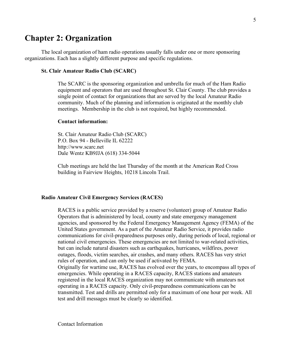## **Chapter 2: Organization**

The local organization of ham radio operations usually falls under one or more sponsoring organizations. Each has a slightly different purpose and specific regulations.

#### **St. Clair Amateur Radio Club (SCARC)**

The SCARC is the sponsoring organization and umbrella for much of the Ham Radio equipment and operators that are used throughout St. Clair County. The club provides a single point of contact for organizations that are served by the local Amateur Radio community. Much of the planning and information is originated at the monthly club meetings. Membership in the club is not required, but highly recommended.

#### **Contact information:**

St. Clair Amateur Radio Club (SCARC) P.O. Box 94 - Belleville IL 62222 http://www.scarc.net Dale Wentz KB9JJA (618) 334-5044

Club meetings are held the last Thursday of the month at the American Red Cross building in Fairview Heights, 10218 Lincoln Trail.

#### **Radio Amateur Civil Emergency Services (RACES)**

RACES is a public service provided by a reserve (volunteer) group of Amateur Radio Operators that is administered by local, county and state emergency management agencies, and sponsored by the Federal Emergency Management Agency (FEMA) of the United States government. As a part of the Amateur Radio Service, it provides radio communications for civil-preparedness purposes only, during periods of local, regional or national civil emergencies. These emergencies are not limited to war-related activities, but can include natural disasters such as earthquakes, hurricanes, wildfires, power outages, floods, victim searches, air crashes, and many others. RACES has very strict rules of operation, and can only be used if activated by FEMA. Originally for wartime use, RACES has evolved over the years, to encompass all types of emergencies. While operating in a RACES capacity, RACES stations and amateurs registered in the local RACES organization may not communicate with amateurs not operating in a RACES capacity. Only civil-preparedness communications can be transmitted. Test and drills are permitted only for a maximum of one hour per week. All test and drill messages must be clearly so identified.

Contact Information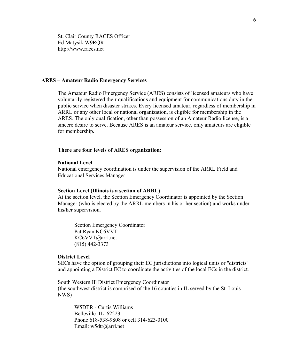St. Clair County RACES Officer Ed Matysik W9RQR http://www.races.net

#### **ARES – Amateur Radio Emergency Services**

The Amateur Radio Emergency Service (ARES) consists of licensed amateurs who have voluntarily registered their qualifications and equipment for communications duty in the public service when disaster strikes. Every licensed amateur, regardless of membership in ARRL or any other local or national organization, is eligible for membership in the ARES. The only qualification, other than possession of an Amateur Radio license, is a sincere desire to serve. Because ARES is an amateur service, only amateurs are eligible for membership.

#### **There are four levels of ARES organization:**

#### **National Level**

National emergency coordination is under the supervision of the ARRL Field and Educational Services Manager

#### **Section Level (Illinois is a section of ARRL)**

At the section level, the Section Emergency Coordinator is appointed by the Section Manager (who is elected by the ARRL members in his or her section) and works under his/her supervision.

Section Emergency Coordinator Pat Ryan KC6VVT KC6VVT@arrl.net (815) 442-3373

#### **District Level**

SECs have the option of grouping their EC jurisdictions into logical units or "districts" and appointing a District EC to coordinate the activities of the local ECs in the district.

South Western Ill District Emergency Coordinator (the southwest district is comprised of the 16 counties in IL served by the St. Louis NWS)

W5DTR - Curtis Williams Belleville IL 62223 Phone 618-538-9808 or cell 314-623-0100 Email: w5dtr@arrl.net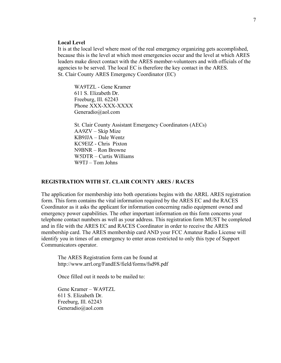#### **Local Level**

It is at the local level where most of the real emergency organizing gets accomplished, because this is the level at which most emergencies occur and the level at which ARES leaders make direct contact with the ARES member-volunteers and with officials of the agencies to be served. The local EC is therefore the key contact in the ARES. St. Clair County ARES Emergency Coordinator (EC)

WA9TZL - Gene Kramer 611 S. Elizabeth Dr. Freeburg, Ill. 62243 Phone XXX-XXX-XXXX Generadio@aol.com

St. Clair County Assistant Emergency Coordinators (AECs) AA9ZV – Skip Mize KB9JJA – Dale Wentz KC9EIZ - Chris Pixton N9BNR – Ron Browne W5DTR – Curtis Williams W9TJ – Tom Johns

#### **REGISTRATION WITH ST. CLAIR COUNTY ARES / RACES**

The application for membership into both operations begins with the ARRL ARES registration form. This form contains the vital information required by the ARES EC and the RACES Coordinator as it asks the applicant for information concerning radio equipment owned and emergency power capabilities. The other important information on this form concerns your telephone contact numbers as well as your address. This registration form MUST be completed and in file with the ARES EC and RACES Coordinator in order to receive the ARES membership card. The ARES membership card AND your FCC Amateur Radio License will identify you in times of an emergency to enter areas restricted to only this type of Support Communicators operator.

The ARES Registration form can be found at http://www.arrl.org/FandES/field/forms/fsd98.pdf

Once filled out it needs to be mailed to:

Gene Kramer – WA9TZL 611 S. Elizabeth Dr. Freeburg, Ill. 62243 Generadio@aol.com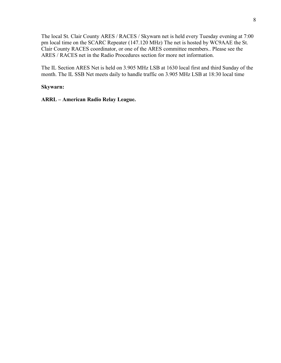The local St. Clair County ARES / RACES / Skywarn net is held every Tuesday evening at 7:00 pm local time on the SCARC Repeater (147.120 MHz) The net is hosted by WC9AAE the St. Clair County RACES coordinator, or one of the ARES committee members.. Please see the ARES / RACES net in the Radio Procedures section for more net information.

The IL Section ARES Net is held on 3.905 MHz LSB at 1630 local first and third Sunday of the month. The IL SSB Net meets daily to handle traffic on 3.905 MHz LSB at 18:30 local time

### **Skywarn:**

**ARRL – American Radio Relay League.**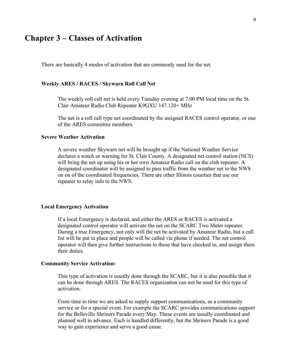## **Chapter 3 – Classes of Activation**

There are basically 4 modes of activation that are commonly used for the net.

#### **Weekly ARES / RACES / Skywarn Roll Call Net**

The weekly roll call net is held every Tuesday evening at 7:00 PM local time on the St. Clair Amateur Radio Club Repeater K9GXU 147.120+ MHz

The net is a roll call type net coordinated by the assigned RACES control operator, or one of the ARES committee members.

#### **Severe Weather Activation**

A severe weather Skywarn net will be brought up if the National Weather Service declares a watch or warning for St. Clair County. A designated net control station (NCS) will bring the net up using his or her own Amateur Radio call on the club repeater. A designated coordinator will be assigned to pass traffic from the weather net to the NWS on on of the coordinated frequencies. There are other Illinois counties that use our repeater to relay info to the NWS.

### **Local Emergency Activation**

If a local Emergency is declared, and either the ARES or RACES is activated a designated control operator will activate the net on the SCARC Two Meter repeater. During a true Emergency, not only will the net be activated by Amateur Radio, but a call list will be put in place and people will be called via phone if needed. The net control operator will then give further instructions to those that have checked in, and assign them their duties.

#### **Community Service Activation:**

This type of activation is usually done through the SCARC, but it is also possible that it can be done through ARES. The RACES organization can not be used for this type of activation.

From time to time we are asked to supply support communications, as a community service or for a special event. For example the SCARC provides communications support for the Belleville Shriners Parade every May. These events are usually coordinated and planned well in advance. Each is handled differently, but the Shriners Parade is a good way to gain experience and serve a good cause.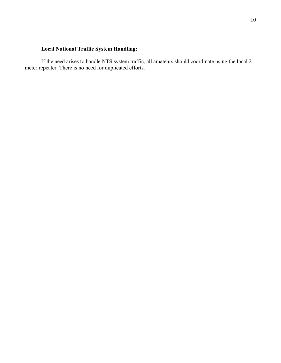## **Local National Traffic System Handling:**

If the need arises to handle NTS system traffic, all amateurs should coordinate using the local 2 meter repeater. There is no need for duplicated efforts.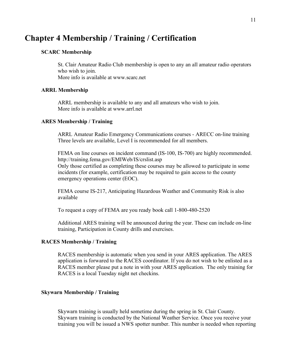# **Chapter 4 Membership / Training / Certification**

#### **SCARC Membership**

St. Clair Amateur Radio Club membership is open to any an all amateur radio operators who wish to join. More info is available at www.scarc.net

#### **ARRL Membership**

ARRL membership is available to any and all amateurs who wish to join. More info is available at www.arrl.net

#### **ARES Membership / Training**

ARRL Amateur Radio Emergency Communications courses - ARECC on-line training Three levels are available, Level I is recommended for all members.

FEMA on line courses on incident command (IS-100, IS-700) are highly recommended. http://training.fema.gov/EMIWeb/IS/crslist.asp

Only those certified as completing these courses may be allowed to participate in some incidents (for example, certification may be required to gain access to the county emergency operations center (EOC).

FEMA course IS-217, Anticipating Hazardous Weather and Community Risk is also available

To request a copy of FEMA are you ready book call 1-800-480-2520

Additional ARES training will be announced during the year. These can include on-line training, Participation in County drills and exercises.

### **RACES Membership / Training**

RACES membership is automatic when you send in your ARES application. The ARES application is forwared to the RACES coordinator. If you do not wish to be enlisted as a RACES member please put a note in with your ARES application. The only training for RACES is a local Tuesday night net checkins.

#### **Skywarn Membership / Training**

Skywarn training is usually held sometime during the spring in St. Clair County. Skywarn training is conducted by the National Weather Service. Once you receive your training you will be issued a NWS spotter number. This number is needed when reporting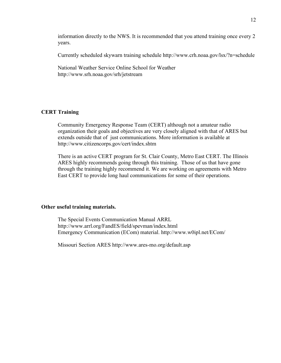information directly to the NWS. It is recommended that you attend training once every 2 years.

Currently scheduled skywarn training schedule http://www.crh.noaa.gov/lsx/?n=schedule

National Weather Service Online School for Weather http://www.srh.noaa.gov/srh/jetstream

## **CERT Training**

Community Emergency Response Team (CERT) although not a amateur radio organization their goals and objectives are very closely aligned with that of ARES but extends outside that of just communications. More information is available at http://www.citizencorps.gov/cert/index.shtm

There is an active CERT program for St. Clair County, Metro East CERT. The Illinois ARES highly recommends going through this training. Those of us that have gone through the training highly recommend it. We are working on agreements with Metro East CERT to provide long haul communications for some of their operations.

#### **Other useful training materials.**

The Special Events Communication Manual ARRL http://www.arrl.org/FandES/field/spevman/index.html Emergency Communication (ECom) material. http://www.w0ipl.net/ECom/

Missouri Section ARES http://www.ares-mo.org/default.asp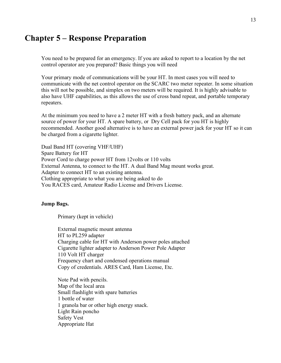## **Chapter 5 – Response Preparation**

You need to be prepared for an emergency. If you are asked to report to a location by the net control operator are you prepared? Basic things you will need

Your primary mode of communications will be your HT. In most cases you will need to communicate with the net control operator on the SCARC two meter repeater. In some situation this will not be possible, and simplex on two meters will be required. It is highly advisable to also have UHF capabilities, as this allows the use of cross band repeat, and portable temporary repeaters.

At the minimum you need to have a 2 meter HT with a fresh battery pack, and an alternate source of power for your HT. A spare battery, or Dry Cell pack for you HT is highly recommended. Another good alternative is to have an external power jack for your HT so it can be charged from a cigarette lighter.

Dual Band HT (covering VHF/UHF) Spare Battery for HT Power Cord to charge power HT from 12volts or 110 volts External Antenna, to connect to the HT. A dual Band Mag mount works great. Adapter to connect HT to an existing antenna. Clothing appropriate to what you are being asked to do You RACES card, Amateur Radio License and Drivers License.

### **Jump Bags.**

Primary (kept in vehicle)

External magnetic mount antenna HT to PL259 adapter Charging cable for HT with Anderson power poles attached Cigarette lighter adapter to Anderson Power Pole Adapter 110 Volt HT charger Frequency chart and condensed operations manual Copy of credentials. ARES Card, Ham License, Etc.

Note Pad with pencils. Map of the local area Small flashlight with spare batteries 1 bottle of water 1 granola bar or other high energy snack. Light Rain poncho Safety Vest Appropriate Hat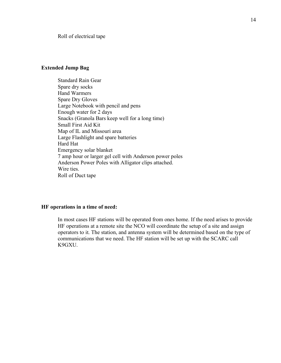Roll of electrical tape

## **Extended Jump Bag**

Standard Rain Gear Spare dry socks Hand Warmers Spare Dry Gloves Large Notebook with pencil and pens Enough water for 2 days Snacks (Granola Bars keep well for a long time) Small First Aid Kit Map of IL and Missouri area Large Flashlight and spare batteries Hard Hat Emergency solar blanket 7 amp hour or larger gel cell with Anderson power poles Anderson Power Poles with Alligator clips attached. Wire ties. Roll of Duct tape

### **HF operations in a time of need:**

In most cases HF stations will be operated from ones home. If the need arises to provide HF operations at a remote site the NCO will coordinate the setup of a site and assign operators to it. The station, and antenna system will be determined based on the type of communications that we need. The HF station will be set up with the SCARC call K9GXU.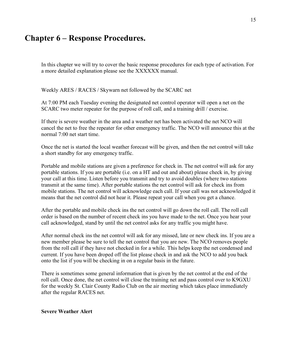# **Chapter 6 – Response Procedures.**

In this chapter we will try to cover the basic response procedures for each type of activation. For a more detailed explanation please see the XXXXXX manual.

Weekly ARES / RACES / Skywarn net followed by the SCARC net

At 7:00 PM each Tuesday evening the designated net control operator will open a net on the SCARC two meter repeater for the purpose of roll call, and a training drill / exercise.

If there is severe weather in the area and a weather net has been activated the net NCO will cancel the net to free the repeater for other emergency traffic. The NCO will announce this at the normal 7:00 net start time.

Once the net is started the local weather forecast will be given, and then the net control will take a short standby for any emergency traffic.

Portable and mobile stations are given a preference for check in. The net control will ask for any portable stations. If you are portable (i.e. on a HT and out and about) please check in, by giving your call at this time. Listen before you transmit and try to avoid doubles (where two stations transmit at the same time). After portable stations the net control will ask for check ins from mobile stations. The net control will acknowledge each call. If your call was not acknowledged it means that the net control did not hear it. Please repeat your call when you get a chance.

After the portable and mobile check ins the net control will go down the roll call. The roll call order is based on the number of recent check ins you have made to the net. Once you hear your call acknowledged, stand by until the net control asks for any traffic you might have.

After normal check ins the net control will ask for any missed, late or new check ins. If you are a new member please be sure to tell the net control that you are new. The NCO removes people from the roll call if they have not checked in for a while. This helps keep the net condensed and current. If you have been droped off the list please check in and ask the NCO to add you back onto the list if you will be checking in on a regular basis in the future.

There is sometimes some general information that is given by the net control at the end of the roll call. Once done, the net control will close the training net and pass control over to K9GXU for the weekly St. Clair County Radio Club on the air meeting which takes place immediately after the regular RACES net.

### **Severe Weather Alert**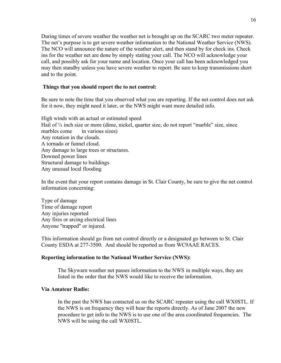During times of severe weather the weather net is brought up on the SCARC two meter repeater. The net's purpose is to get severe weather information to the National Weather Service (NWS). The NCO will announce the nature of the weather alert, and then stand by for check ins. Check ins for the weather net are done by simply stating your call. The NCO will acknowledge your call, and possibly ask for your name and location. Once your call has been acknowledged you may then standby unless you have severe weather to report. Be sure to keep transmissions short and to the point.

### **Things that you should report the to net control:**

Be sure to note the time that you observed what you are reporting. If the net control does not ask for it now, they might need it later, or the NWS might want more detailed info.

High winds with an actual or estimated speed Hail of  $\frac{1}{4}$  inch size or more (dime, nickel, quarter size; do not report "marble" size, since marbles come in various sizes) Any rotation in the clouds. A tornado or funnel cloud. Any damage to large trees or structures. Downed power lines Structural damage to buildings Any unusual local flooding

In the event that your report contains damage in St. Clair County, be sure to give the net control information concerning:

Type of damage Time of damage report Any injuries reported Any fires or arcing electrical lines Anyone "trapped" or injured.

This information should go from net control directly or a designated go between to St. Clair County ESDA at 277-3500. And should be reported as from WC9AAE RACES.

#### **Reporting information to the National Weather Service (NWS):**

The Skywarn weather net passes information to the NWS in multiple ways, they are listed in the order that the NWS would like to receive the information.

#### **Via Amateur Radio:**

In the past the NWS has contacted us on the SCARC repeater using the call WX0STL. If the NWS is on frequency they will hear the reports directly. As of June 2007 the new procedure to get info to the NWS is to use one of the area coordinated frequencies. The NWS will be using the call WX0STL.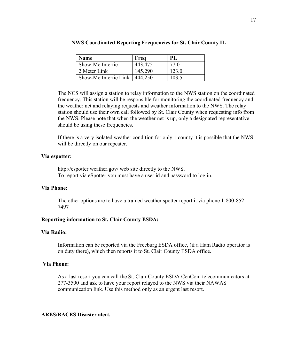| <b>Name</b>           | Freq    | PL    |
|-----------------------|---------|-------|
| Show-Me Intertie      | 443.475 | 77 Q  |
| 2 Meter Link          | 145.290 | 123.0 |
| Show-Me Intertie Link | 444.250 | 103.5 |

The NCS will assign a station to relay information to the NWS station on the coordinated frequency. This station will be responsible for monitoring the coordinated frequency and the weather net and relaying requests and weather information to the NWS. The relay station should use their own call followed by St. Clair County when requesting info from the NWS. Please note that when the weather net is up, only a designated representative should be using these frequencies.

If there is a very isolated weather condition for only 1 county it is possible that the NWS will be directly on our repeater.

#### **Via espotter:**

http://espotter.weather.gov/ web site directly to the NWS. To report via eSpotter you must have a user id and password to log in.

#### **Via Phone:**

The other options are to have a trained weather spotter report it via phone 1-800-852- 7497

### **Reporting information to St. Clair County ESDA:**

#### **Via Radio:**

Information can be reported via the Freeburg ESDA office, (if a Ham Radio operator is on duty there), which then reports it to St. Clair County ESDA office.

### **Via Phone:**

As a last resort you can call the St. Clair County ESDA CenCom telecommunicators at 277-3500 and ask to have your report relayed to the NWS via their NAWAS communication link. Use this method only as an urgent last resort.

#### **ARES/RACES Disaster alert.**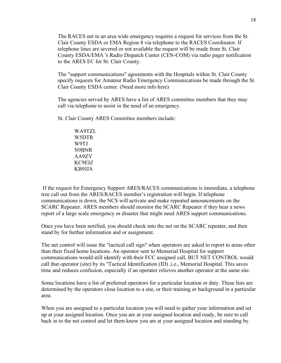The RACES net in an area wide emergency requires a request for services from the St. Clair County ESDA or EMA Region 8 via telephone to the RACES Coordinator. If telephone lines are severed or not available the request will be made from St. Clair County ESDA/EMA 's Radio Dispatch Center (CEN-COM) via radio pager notification to the ARES EC for St. Clair County.

The "support communications" agreements with the Hospitals within St. Clair County specify requests for Amateur Radio Emergency Communications be made through the St. Clair County ESDA center. (Need more info here)

The agencies served by ARES have a list of ARES committee members that they may call via telephone to assist in the need of an emergency.

St. Clair County ARES Committee members include:

WA9TZL W5DTR W9TJ N9BNR AA9ZV KC9EIZ KB9JJA

If the request for Emergency Support ARES/RACES communications is immediate, a telephone tree call out from the ARES/RACES member's registration will begin. If telephone communications is down, the NCS will activate and make repeated announcements on the SCARC Repeater. ARES members should monitor the SCARC Repeater if they hear a news report of a large scale emergency or disaster that might need ARES support communications.

Once you have been notified, you should check into the net on the SCARC repeater, and then stand by for further information and or assignment.

The net control will issue the "tactical call sign" when operators are asked to report to areas other than their fixed home locations. An operator sent to Memorial Hospital for support communications would still identify with their FCC assigned call, BUT NET CONTROL would call that operator (site) by its "Tactical Identification (ID) ,i.e., Memorial Hospital. This saves time and reduces confusion, especially if an operator relieves another operator at the same site.

Some locations have a list of preferred operators for a particular location or duty. These lists are determined by the operators close location to a site, or their training or background in a particular area.

When you are assigned to a particular location you will need to gather your information and set up at your assigned location. Once you are at your assigned location and ready, be sure to call back in to the net control and let them know you are at your assigned location and standing by.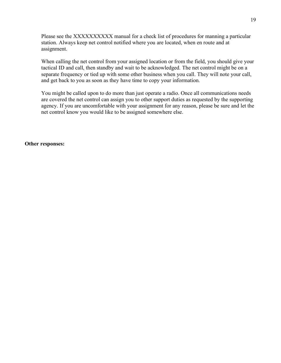Please see the XXXXXXXXXXX manual for a check list of procedures for manning a particular station. Always keep net control notified where you are located, when en route and at assignment.

When calling the net control from your assigned location or from the field, you should give your tactical ID and call, then standby and wait to be acknowledged. The net control might be on a separate frequency or tied up with some other business when you call. They will note your call, and get back to you as soon as they have time to copy your information.

You might be called upon to do more than just operate a radio. Once all communications needs are covered the net control can assign you to other support duties as requested by the supporting agency. If you are uncomfortable with your assignment for any reason, please be sure and let the net control know you would like to be assigned somewhere else.

**Other responses:**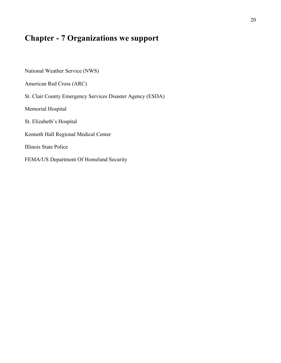# **Chapter - 7 Organizations we support**

National Weather Service (NWS) American Red Cross (ARC) St. Clair County Emergency Services Disaster Agency (ESDA) Memorial Hospital St. Elizabeth's Hospital Kenneth Hall Regional Medical Center Illinois State Police FEMA/US Department Of Homeland Security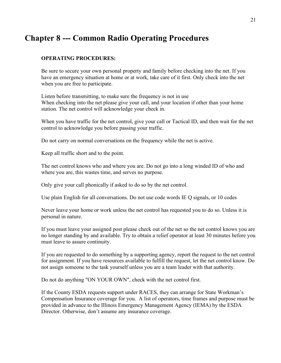# **Chapter 8 --- Common Radio Operating Procedures**

### **OPERATING PROCEDURES:**

Be sure to secure your own personal property and family before checking into the net. If you have an emergency situation at home or at work, take care of it first. Only check into the net when you are free to participate.

Listen before transmitting, to make sure the frequency is not in use When checking into the net please give your call, and your location if other than your home station. The net control will acknowledge your check in.

When you have traffic for the net control, give your call or Tactical ID, and then wait for the net control to acknowledge you before passing your traffic.

Do not carry on normal conversations on the frequency while the net is active.

Keep all traffic short and to the point.

The net control knows who and where you are. Do not go into a long winded ID of who and where you are, this wastes time, and serves no purpose.

Only give your call phonically if asked to do so by the net control.

Use plain English for all conversations. Do not use code words IE Q signals, or 10 codes

Never leave your home or work unless the net control has requested you to do so. Unless it is personal in nature.

If you must leave your assigned post please check out of the net so the net control knows you are no longer standing by and available. Try to obtain a relief operator at least 30 minutes before you must leave to assure continuity.

If you are requested to do something by a supporting agency, report the request to the net control for assignment. If you have resources available to fulfill the request, let the net control know. Do not assign someone to the task yourself unless you are a team leader with that authority.

Do not do anything "ON YOUR OWN", check with the net control first.

If the County ESDA requests support under RACES, they can arrange for State Workman's Compensation Insurance coverage for you. A list of operators, time frames and purpose must be provided in advance to the Illinois Emergency Management Agency (IEMA) by the ESDA Director. Otherwise, don't assume any insurance coverage.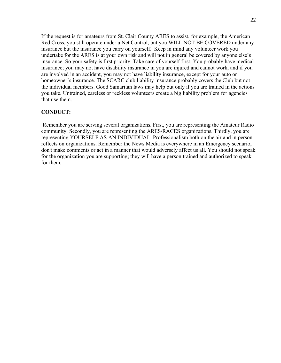If the request is for amateurs from St. Clair County ARES to assist, for example, the American Red Cross, you still operate under a Net Control, but you WILL NOT BE COVERED under any insurance but the insurance you carry on yourself. Keep in mind any volunteer work you undertake for the ARES is at your own risk and will not in general be covered by anyone else's insurance. So your safety is first priority. Take care of yourself first. You probably have medical insurance; you may not have disability insurance in you are injured and cannot work, and if you are involved in an accident, you may not have liability insurance, except for your auto or homeowner's insurance. The SCARC club liability insurance probably covers the Club but not the individual members. Good Samaritan laws may help but only if you are trained in the actions you take. Untrained, careless or reckless volunteers create a big liability problem for agencies that use them.

## **CONDUCT:**

Remember you are serving several organizations. First, you are representing the Amateur Radio community. Secondly, you are representing the ARES/RACES organizations. Thirdly, you are representing YOURSELF AS AN INDIVIDUAL. Professionalism both on the air and in person reflects on organizations. Remember the News Media is everywhere in an Emergency scenario, don't make comments or act in a manner that would adversely affect us all. You should not speak for the organization you are supporting; they will have a person trained and authorized to speak for them.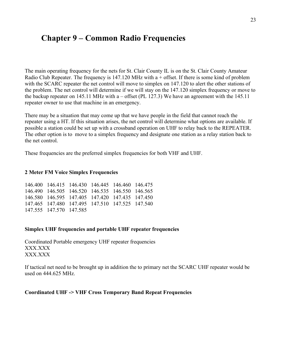# **Chapter 9 – Common Radio Frequencies**

The main operating frequency for the nets for St. Clair County IL is on the St. Clair County Amateur Radio Club Repeater. The frequency is  $147.120$  MHz with a + offset. If there is some kind of problem with the SCARC repeater the net control will move to simplex on 147.120 to alert the other stations of the problem. The net control will determine if we will stay on the 147.120 simplex frequency or move to the backup repeater on 145.11 MHz with a – offset (PL 127.3) We have an agreement with the 145.11 repeater owner to use that machine in an emergency.

There may be a situation that may come up that we have people in the field that cannot reach the repeater using a HT. If this situation arises, the net control will determine what options are available. If possible a station could be set up with a crossband operation on UHF to relay back to the REPEATER. The other option is to move to a simplex frequency and designate one station as a relay station back to the net control.

These frequencies are the preferred simplex frequencies for both VHF and UHF.

#### **2 Meter FM Voice Simplex Frequencies**

|                         | 146.400 146.415 146.430 146.445 146.460 146.475 |  |  |
|-------------------------|-------------------------------------------------|--|--|
|                         | 146.490 146.505 146.520 146.535 146.550 146.565 |  |  |
|                         | 146.580 146.595 147.405 147.420 147.435 147.450 |  |  |
|                         | 147.465 147.480 147.495 147.510 147.525 147.540 |  |  |
| 147.555 147.570 147.585 |                                                 |  |  |

#### **Simplex UHF frequencies and portable UHF repeater frequencies**

Coordinated Portable emergency UHF repeater frequencies XXX.XXX XXX.XXX

If tactical net need to be brought up in addition the to primary net the SCARC UHF repeater would be used on 444.625 MHz.

#### **Coordinated UHF -> VHF Cross Temporary Band Repeat Frequencies**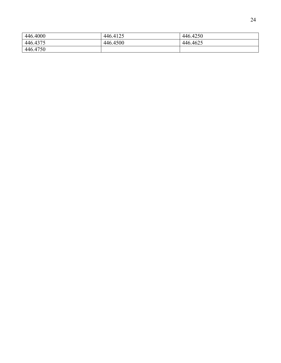| 446.4000 | 446.4125 | 446.4250 |
|----------|----------|----------|
| 446.4375 | 446.4500 | 446.4625 |
| 446.4750 |          |          |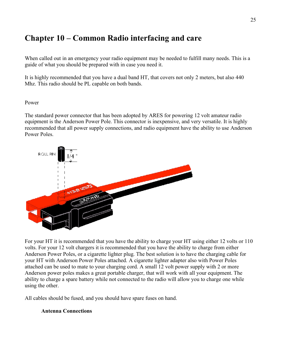# **Chapter 10 – Common Radio interfacing and care**

When called out in an emergency your radio equipment may be needed to fulfill many needs. This is a guide of what you should be prepared with in case you need it.

It is highly recommended that you have a dual band HT, that covers not only 2 meters, but also 440 Mhz. This radio should be PL capable on both bands.

Power

The standard power connector that has been adopted by ARES for powering 12 volt amateur radio equipment is the Anderson Power Pole. This connector is inexpensive, and very versatile. It is highly recommended that all power supply connections, and radio equipment have the ability to use Anderson Power Poles.



For your HT it is recommended that you have the ability to charge your HT using either 12 volts or 110 volts. For your 12 volt chargers it is recommended that you have the ability to charge from either Anderson Power Poles, or a cigarette lighter plug. The best solution is to have the charging cable for your HT with Anderson Power Poles attached. A cigarette lighter adapter also with Power Poles attached can be used to mate to your charging cord. A small 12 volt power supply with 2 or more Anderson power poles makes a great portable charger, that will work with all your equipment. The ability to charge a spare battery while not connected to the radio will allow you to charge one while using the other.

All cables should be fused, and you should have spare fuses on hand.

### **Antenna Connections**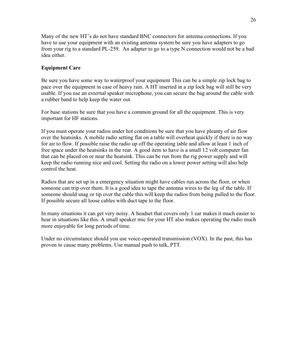Many of the new HT's do not have standard BNC connectors for antenna connections. If you have to use your equipment with an existing antenna system be sure you have adapters to go from your rig to a standard PL-259. An adapter to go to a type N connection would not be a bad idea either.

## **Equipment Care**

Be sure you have some way to waterproof your equipment This can be a simple zip lock bag to pace over the equipment in case of heavy rain. A HT inserted in a zip lock bag will still be very usable. If you use an external speaker microphone, you can secure the bag around the cable with a rubber band to help keep the water out.

For base stations be sure that you have a common ground for all the equipment. This is very important for HF stations.

If you must operate your radios under hot conditions be sure that you have pleanty of air flow over the heatsinks. A mobile radio setting flat on a table will overheat quickly if there is no way for air to flow. If possible raise the radio up off the operating table and allow at least 1 inch of free space under the heatsinks in the rear. A good item to have is a small 12 volt computer fan that can be placed on or near the heatsink. This can be run from the rig power supply and will keep the radio running nice and cool. Setting the radio on a lower power setting will also help control the heat.

Radios that are set up in a emergency situation might have cables run across the floor, or when someone can trip over them. It is a good idea to tape the antenna wires to the leg of the table. If someone should snag or tip over the cable this will keep the radios from being pulled to the floor. If possible secure all loose cables with duct tape to the floor.

In many situations it can get very noisy. A headset that covers only 1 ear makes it much easier to hear in situations like this. A small speaker mic for your HT also makes operating the radio much more enjoyable for long periods of time.

Under no circumstance should you use voice-operated transmission (VOX). In the past, this has proven to cause many problems. Use manual push to talk, PTT.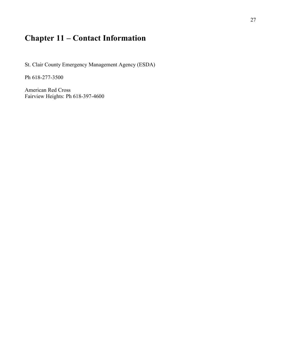# **Chapter 11 – Contact Information**

St. Clair County Emergency Management Agency (ESDA)

Ph 618-277-3500

American Red Cross Fairview Heights: Ph 618-397-4600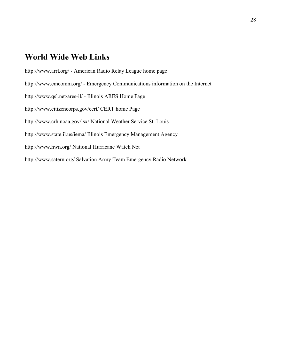# **World Wide Web Links**

http://www.arrl.org/ - American Radio Relay League home page

http://www.emcomm.org/ - Emergency Communications information on the Internet

http://www.qsl.net/ares-il/ - Illinois ARES Home Page

http://www.citizencorps.gov/cert/ CERT home Page

http://www.crh.noaa.gov/lsx/ National Weather Service St. Louis

http://www.state.il.us/iema/ Illinois Emergency Management Agency

http://www.hwn.org/ National Hurricane Watch Net

http://www.satern.org/ Salvation Army Team Emergency Radio Network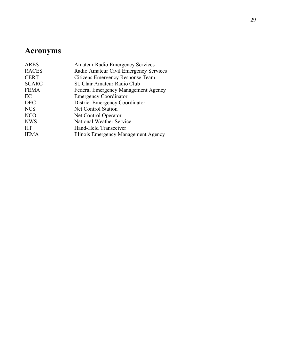# **Acronyms**

| <b>ARES</b>  | <b>Amateur Radio Emergency Services</b>    |
|--------------|--------------------------------------------|
| <b>RACES</b> | Radio Amateur Civil Emergency Services     |
| <b>CERT</b>  | Citizens Emergency Response Team.          |
| <b>SCARC</b> | St. Clair Amateur Radio Club               |
| <b>FEMA</b>  | <b>Federal Emergency Management Agency</b> |
| EC           | <b>Emergency Coordinator</b>               |
| <b>DEC</b>   | District Emergency Coordinator             |
| <b>NCS</b>   | <b>Net Control Station</b>                 |
| <b>NCO</b>   | Net Control Operator                       |
| <b>NWS</b>   | National Weather Service                   |
| <b>HT</b>    | Hand-Held Transceiver                      |
| <b>IEMA</b>  | Illinois Emergency Management Agency       |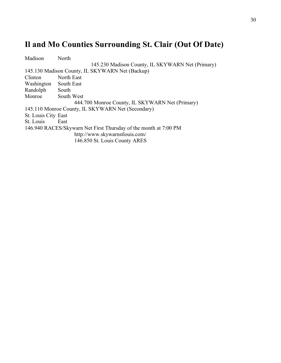# **Il and Mo Counties Surrounding St. Clair (Out Of Date)**

| Madison             | North                                                            |
|---------------------|------------------------------------------------------------------|
|                     | 145.230 Madison County, IL SKYWARN Net (Primary)                 |
|                     | 145.130 Madison County, IL SKYWARN Net (Backup)                  |
| Clinton             | North East                                                       |
| Washington          | South East                                                       |
| Randolph            | South                                                            |
| Monroe              | South West                                                       |
|                     | 444.700 Monroe County, IL SKYWARN Net (Primary)                  |
|                     | 145.110 Monroe County, IL SKYWARN Net (Secondary)                |
| St. Louis City East |                                                                  |
| St. Louis           | East                                                             |
|                     | 146.940 RACES/Skywarn Net First Thursday of the month at 7:00 PM |
|                     | http://www.skywarnstlouis.com/                                   |
|                     | 146.850 St. Louis County ARES                                    |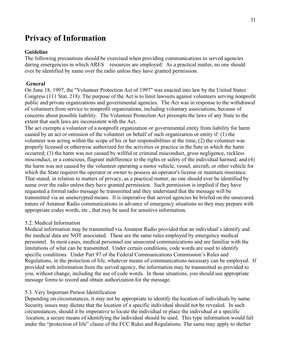# **Privacy of Information**

### **Guideline**

The following precautions should be exercised when providing communications to served agencies during emergencies in which ARES resources are employed: As a practical matter, no one should ever be identified by name over the radio unless they have granted permission.

#### **General**

On June 18, 1997, the "Volunteer Protection Act of 1997" was enacted into law by the United States Congress (111 Stat. 218). The purpose of the Act is to limit lawsuits against volunteers serving nonprofit public and private organizations and governmental agencies. The Act was in response to the withdrawal of volunteers from service to nonprofit organizations, including voluntary associations, because of concerns about possible liability. The Volunteer Protection Act preempts the laws of any State to the extent that such laws are inconsistent with the Act.

The act exempts a volunteer of a nonprofit organization or governmental entity from liability for harm caused by an act or omission of the volunteer on behalf of such organization or entity if: (1) the volunteer was acting within the scope of his or her responsibilities at the time; (2) the volunteer was properly licensed or otherwise authorized for the activities or practice in the Sate in which the harm occurred; (3) the harm was not caused by willful or criminal misconduct, gross negligence, reckless misconduct, or a conscious, flagrant indifference to the rights or safety of the individual harmed; and (4) the harm was not caused by the volunteer operating a motor vehicle, vessel, aircraft, or other vehicle for which the State requires the operator or owner to possess an operator's license or maintain insurance. That stated, in relation to matters of privacy, as a practical matter, no one should ever be identified by name over the radio unless they have granted permission. Such permission is implied if they have requested a formal radio message be transmitted and they understand that the message will be transmitted via an unencrypted means. It is imperative that served agencies be briefed on the unsecured nature of Amateur Radio communications in advance of emergency situations so they may prepare with appropriate codes words, etc., that may be used for sensitive information.

#### 5.2. Medical Information

Medical information may be transmitted via Amateur Radio provided that an individual's identify and the medical data are NOT associated. These are the same rules employed by emergency medical personnel. In most cases, medical personnel use unsecured communications and are familiar with the limitations of what can be transmitted. Under certain conditions, code words are used to identify specific conditions. Under Part 97 of the Federal Communications Commission's Rules and Regulations, in the protection of life, whatever means of communications necessary can be employed. If provided with information from the served agency, the information may be transmitted as provided to you, without change, including the use of code words. In those situations, you should use appropriate message forms to record and obtain authorization for the message.

### 5.3. Very Important Person Identification

Depending on circumstances, it may not be appropriate to identify the location of individuals by name. Security issues may dictate that the location of a specific individual should not be revealed. In such circumstances, should it be imperative to locate the individual or place the individual at a specific location, a secure means of identifying the individual should be used. This type information would fall under the "protection of life" clause of the FCC Rules and Regulations. The same may apply to shelter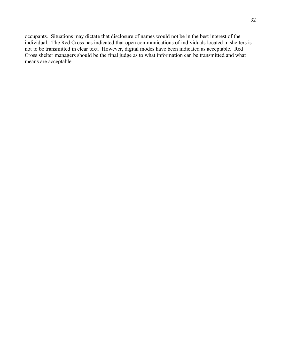occupants. Situations may dictate that disclosure of names would not be in the best interest of the individual. The Red Cross has indicated that open communications of individuals located in shelters is not to be transmitted in clear text. However, digital modes have been indicated as acceptable. Red Cross shelter managers should be the final judge as to what information can be transmitted and what means are acceptable.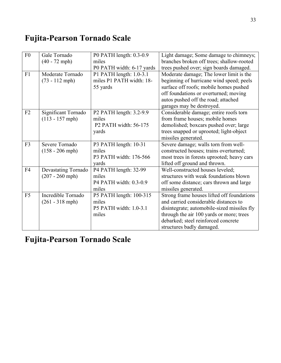# **Fujita-Pearson Tornado Scale**

| F <sub>0</sub> | Gale Tornado<br>$(40 - 72 \text{ mph})$ | P0 PATH length: 0.3-0.9<br>miles  | Light damage; Some damage to chimneys;<br>branches broken off trees; shallow-rooted |
|----------------|-----------------------------------------|-----------------------------------|-------------------------------------------------------------------------------------|
|                |                                         | P0 PATH width: 6-17 yards         | trees pushed over; sign boards damaged.                                             |
| F1             | Moderate Tornado                        | P1 PATH length: 1.0-3.1           | Moderate damage; The lower limit is the                                             |
|                | $(73 - 112 \text{ mph})$                | miles P1 PATH width: 18-          | beginning of hurricane wind speed; peels                                            |
|                |                                         | 55 yards                          | surface off roofs; mobile homes pushed                                              |
|                |                                         |                                   | off foundations or overturned; moving                                               |
|                |                                         |                                   | autos pushed off the road; attached                                                 |
|                |                                         |                                   | garages may be destroyed.                                                           |
| F <sub>2</sub> | Significant Tornado                     | P2 PATH length: 3.2-9.9           | Considerable damage; entire roofs torn                                              |
|                | $(113 - 157 \text{ mph})$               | miles                             | from frame houses; mobile homes                                                     |
|                |                                         | P <sub>2</sub> PATH width: 56-175 | demolished; boxcars pushed over; large                                              |
|                |                                         | yards                             | trees snapped or uprooted; light-object                                             |
|                |                                         |                                   | missiles generated.                                                                 |
| F <sub>3</sub> | Severe Tornado                          | P3 PATH length: 10-31             | Severe damage; walls torn from well-                                                |
|                | $(158 - 206$ mph)                       | miles                             | constructed houses; trains overturned;                                              |
|                |                                         | P3 PATH width: 176-566            | most trees in forests uprooted; heavy cars                                          |
|                |                                         | yards                             | lifted off ground and thrown.                                                       |
| F4             | Devastating Tornado                     | P4 PATH length: 32-99             | Well-constructed houses leveled;                                                    |
|                | $(207 - 260$ mph)                       | miles                             | structures with weak foundations blown                                              |
|                |                                         | P4 PATH width: 0.3-0.9            | off some distance; cars thrown and large                                            |
|                |                                         | miles                             | missiles generated.                                                                 |
| F <sub>5</sub> | Incredible Tornado                      | P5 PATH length: 100-315           | Strong frame houses lifted off foundations                                          |
|                | $(261 - 318 \text{ mph})$               | miles                             | and carried considerable distances to                                               |
|                |                                         | P5 PATH width: 1.0-3.1            | disintegrate; automobile-sized missiles fly                                         |
|                |                                         | miles                             | through the air 100 yards or more; trees                                            |
|                |                                         |                                   | debarked; steel reinforced concrete                                                 |
|                |                                         |                                   | structures badly damaged.                                                           |

# **Fujita-Pearson Tornado Scale**